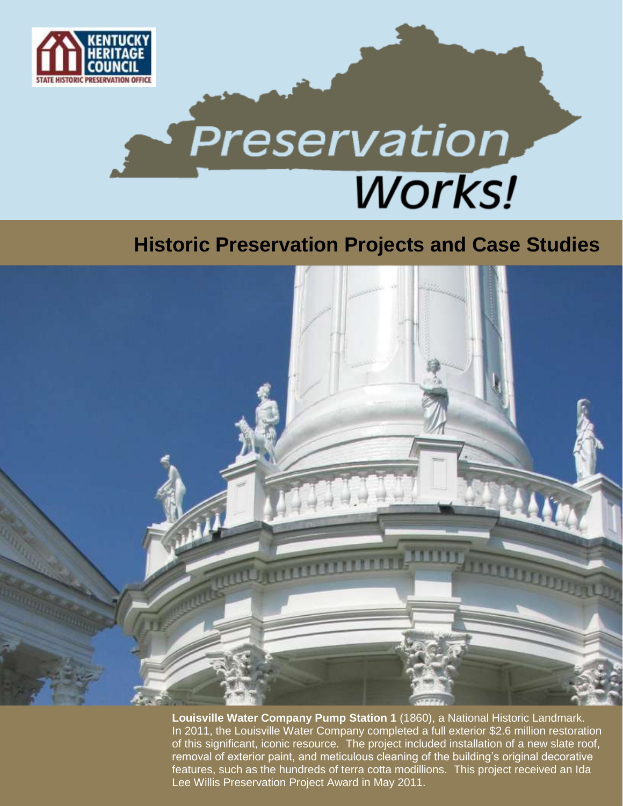

# **Preservation Works!**

### **Historic Preservation Projects and Case Studies**



**Louisville Water Company Pump Station 1** (1860), a National Historic Landmark. In 2011, the Louisville Water Company completed a full exterior \$2.6 million restoration of this significant, iconic resource. The project included installation of a new slate roof, removal of exterior paint, and meticulous cleaning of the building's original decorative features, such as the hundreds of terra cotta modillions. This project received an Ida Lee Willis Preservation Project Award in May 2011.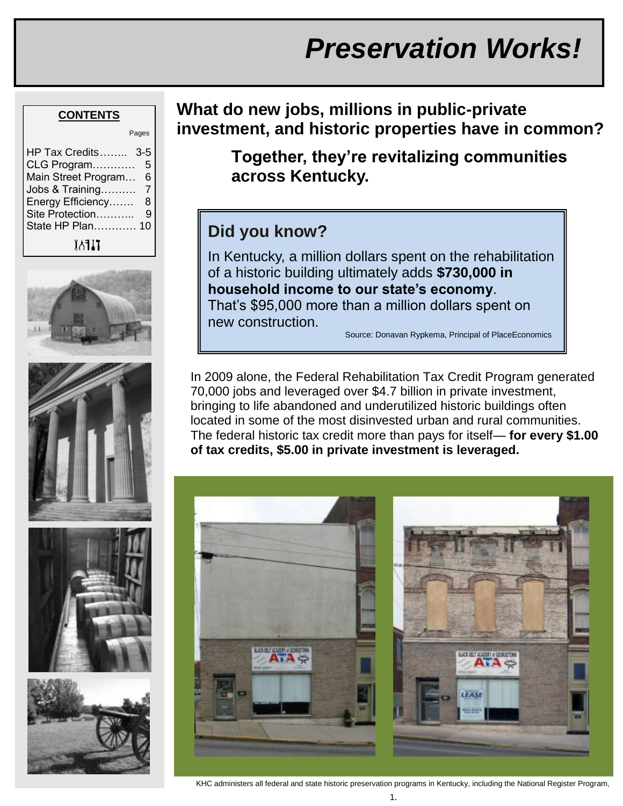# *Preservation Works!*

#### **CONTENTS**

|                                                                                                                                         | Pages                 |
|-----------------------------------------------------------------------------------------------------------------------------------------|-----------------------|
| HP Tax Credits 3-5<br>CLG Program<br>Main Street Program<br>Jobs & Training<br>Energy Efficiency<br>Site Protection<br>State HP Plan 10 | 5<br>6<br>7<br>8<br>9 |
| TIFAY                                                                                                                                   |                       |









**What do new jobs, millions in public-private investment, and historic properties have in common?**

> **Together, they're revitalizing communities across Kentucky.**

#### **Did you know?**

In Kentucky, a million dollars spent on the rehabilitation of a historic building ultimately adds **\$730,000 in household income to our state's economy**. That"s \$95,000 more than a million dollars spent on new construction.

Source: Donavan Rypkema, Principal of PlaceEconomics

In 2009 alone, the Federal Rehabilitation Tax Credit Program generated 70,000 jobs and leveraged over \$4.7 billion in private investment, bringing to life abandoned and underutilized historic buildings often located in some of the most disinvested urban and rural communities. The federal historic tax credit more than pays for itself— **for every \$1.00 of tax credits, \$5.00 in private investment is leveraged.**



KHC administers all federal and state historic preservation programs in Kentucky, including the National Register Program,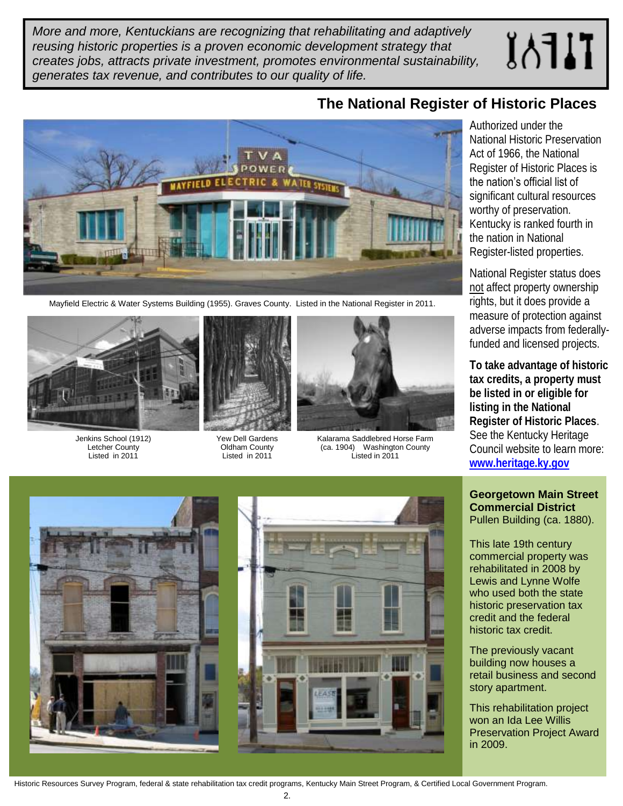*More and more, Kentuckians are recognizing that rehabilitating and adaptively reusing historic properties is a proven economic development strategy that creates jobs, attracts private investment, promotes environmental sustainability, generates tax revenue, and contributes to our quality of life.*

# $I\Lambda$



Mayfield Electric & Water Systems Building (1955). Graves County. Listed in the National Register in 2011.



Jenkins School (1912) Letcher County Listed in 2011



Yew Dell Gardens Oldham County Listed in 2011



Kalarama Saddlebred Horse Farm (ca. 1904) Washington County Listed in 2011

#### **The National Register of Historic Places**

Authorized under the National Historic Preservation Act of 1966, the National Register of Historic Places is the nation's official list of significant cultural resources worthy of preservation. Kentucky is ranked fourth in the nation in National Register-listed properties.

National Register status does not affect property ownership rights, but it does provide a measure of protection against adverse impacts from federallyfunded and licensed projects.

**To take advantage of historic tax credits, a property must be listed in or eligible for listing in the National Register of Historic Places**. See the Kentucky Heritage Council website to learn more: **[www.heritage.ky.gov](http://www.heritage.ky.gov)**

**Georgetown Main Street Commercial District**  Pullen Building (ca. 1880).

This late 19th century commercial property was rehabilitated in 2008 by Lewis and Lynne Wolfe who used both the state historic preservation tax credit and the federal historic tax credit.

The previously vacant building now houses a retail business and second story apartment.

This rehabilitation project won an Ida Lee Willis Preservation Project Award in 2009.



Historic Resources Survey Program, federal & state rehabilitation tax credit programs, Kentucky Main Street Program, & Certified Local Government Program.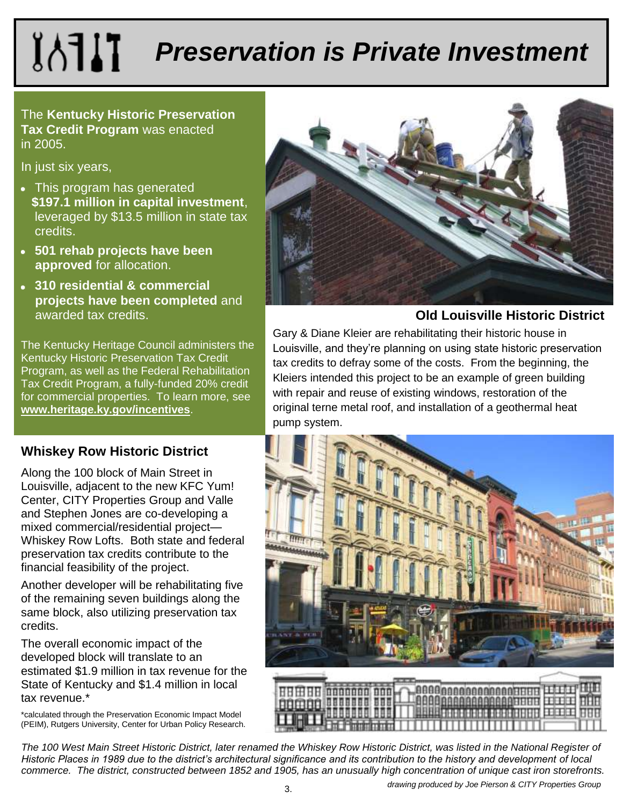# **IATIT** *Preservation is Private Investment*

The **Kentucky Historic Preservation Tax Credit Program** was enacted in 2005.

In just six years,

- This program has generated **\$197.1 million in capital investment**, leveraged by \$13.5 million in state tax credits.
- **501 rehab projects have been approved** for allocation.
- **310 residential & commercial projects have been completed** and awarded tax credits.

The Kentucky Heritage Council administers the Kentucky Historic Preservation Tax Credit Program, as well as the Federal Rehabilitation Tax Credit Program, a fully-funded 20% credit for commercial properties. To learn more, see **[www.heritage.ky.gov/incentives](http://www.heritage.ky.gov/incentives)**.

#### **Whiskey Row Historic District**

Along the 100 block of Main Street in Louisville, adjacent to the new KFC Yum! Center, CITY Properties Group and Valle and Stephen Jones are co-developing a mixed commercial/residential project— Whiskey Row Lofts. Both state and federal preservation tax credits contribute to the financial feasibility of the project.

Another developer will be rehabilitating five of the remaining seven buildings along the same block, also utilizing preservation tax credits.

The overall economic impact of the developed block will translate to an estimated \$1.9 million in tax revenue for the State of Kentucky and \$1.4 million in local tax revenue.\*

\*calculated through the Preservation Economic Impact Model (PEIM), Rutgers University, Center for Urban Policy Research.





#### **Old Louisville Historic District**

Gary & Diane Kleier are rehabilitating their historic house in Louisville, and they"re planning on using state historic preservation tax credits to defray some of the costs. From the beginning, the Kleiers intended this project to be an example of green building with repair and reuse of existing windows, restoration of the original terne metal roof, and installation of a geothermal heat pump system.



*drawing produced by Joe Pierson & CITY Properties Group*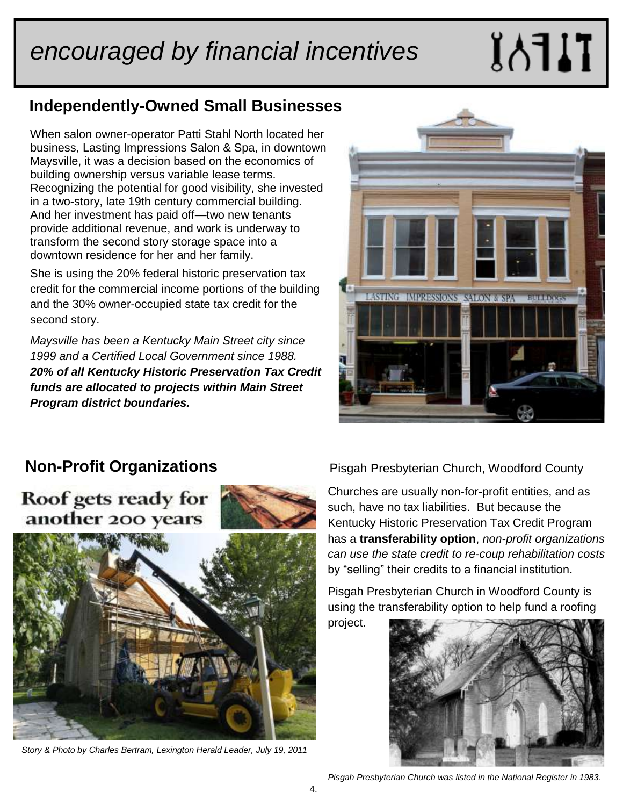# *encouraged by financial incentives*

# TJFAI

#### **Independently-Owned Small Businesses**

When salon owner-operator Patti Stahl North located her business, Lasting Impressions Salon & Spa, in downtown Maysville, it was a decision based on the economics of building ownership versus variable lease terms. Recognizing the potential for good visibility, she invested in a two-story, late 19th century commercial building. And her investment has paid off—two new tenants provide additional revenue, and work is underway to transform the second story storage space into a downtown residence for her and her family.

She is using the 20% federal historic preservation tax credit for the commercial income portions of the building and the 30% owner-occupied state tax credit for the second story.

*Maysville has been a Kentucky Main Street city since 1999 and a Certified Local Government since 1988. 20% of all Kentucky Historic Preservation Tax Credit funds are allocated to projects within Main Street Program district boundaries.*



#### **Non-Profit Organizations**

Roof gets ready for another 200 years



*Story & Photo by Charles Bertram, Lexington Herald Leader, July 19, 2011*

Pisgah Presbyterian Church, Woodford County

Churches are usually non-for-profit entities, and as such, have no tax liabilities. But because the Kentucky Historic Preservation Tax Credit Program has a **transferability option**, *non-profit organizations can use the state credit to re-coup rehabilitation costs*  by "selling" their credits to a financial institution.

Pisgah Presbyterian Church in Woodford County is using the transferability option to help fund a roofing

project.



*Pisgah Presbyterian Church was listed in the National Register in 1983.*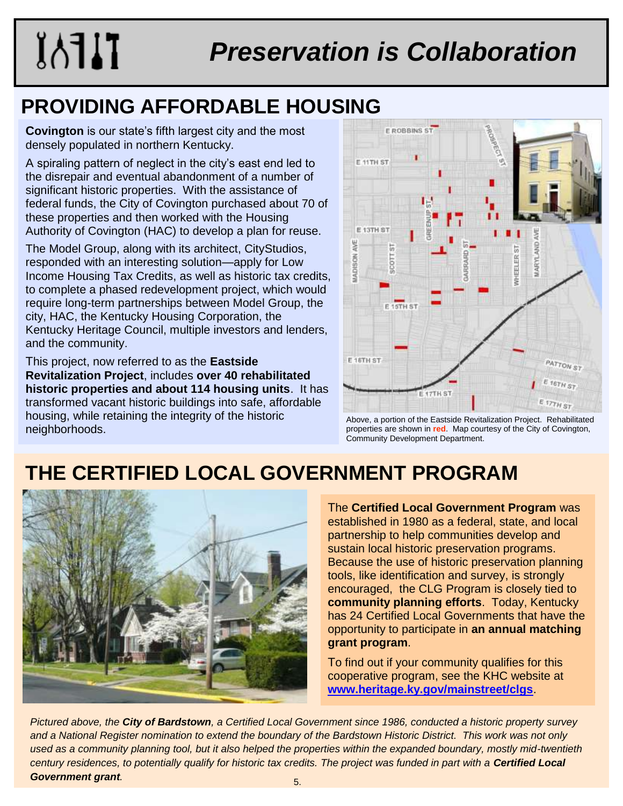# **IAFAIT**

# *Preservation is Collaboration*

## **PROVIDING AFFORDABLE HOUSING**

**Covington** is our state's fifth largest city and the most densely populated in northern Kentucky.

A spiraling pattern of neglect in the city"s east end led to the disrepair and eventual abandonment of a number of significant historic properties. With the assistance of federal funds, the City of Covington purchased about 70 of these properties and then worked with the Housing Authority of Covington (HAC) to develop a plan for reuse.

The Model Group, along with its architect, CityStudios, responded with an interesting solution—apply for Low Income Housing Tax Credits, as well as historic tax credits, to complete a phased redevelopment project, which would require long-term partnerships between Model Group, the city, HAC, the Kentucky Housing Corporation, the Kentucky Heritage Council, multiple investors and lenders, and the community.

This project, now referred to as the **Eastside Revitalization Project**, includes **over 40 rehabilitated historic properties and about 114 housing units**. It has transformed vacant historic buildings into safe, affordable housing, while retaining the integrity of the historic neighborhoods.



Above, a portion of the Eastside Revitalization Project. Rehabilitated properties are shown in **red**. Map courtesy of the City of Covington, Community Development Department.

## **THE CERTIFIED LOCAL GOVERNMENT PROGRAM**



The **Certified Local Government Program** was established in 1980 as a federal, state, and local partnership to help communities develop and sustain local historic preservation programs. Because the use of historic preservation planning tools, like identification and survey, is strongly encouraged, the CLG Program is closely tied to **community planning efforts**. Today, Kentucky has 24 Certified Local Governments that have the opportunity to participate in **an annual matching grant program**.

To find out if your community qualifies for this cooperative program, see the KHC website at **[www.heritage.ky.gov/mainstreet/clgs](http://www.heritage.ky.gov/mainstreet/clgs)**.

*Pictured above, the City of Bardstown, a Certified Local Government since 1986, conducted a historic property survey and a National Register nomination to extend the boundary of the Bardstown Historic District. This work was not only used as a community planning tool, but it also helped the properties within the expanded boundary, mostly mid-twentieth century residences, to potentially qualify for historic tax credits. The project was funded in part with a Certified Local*  **Government grant**.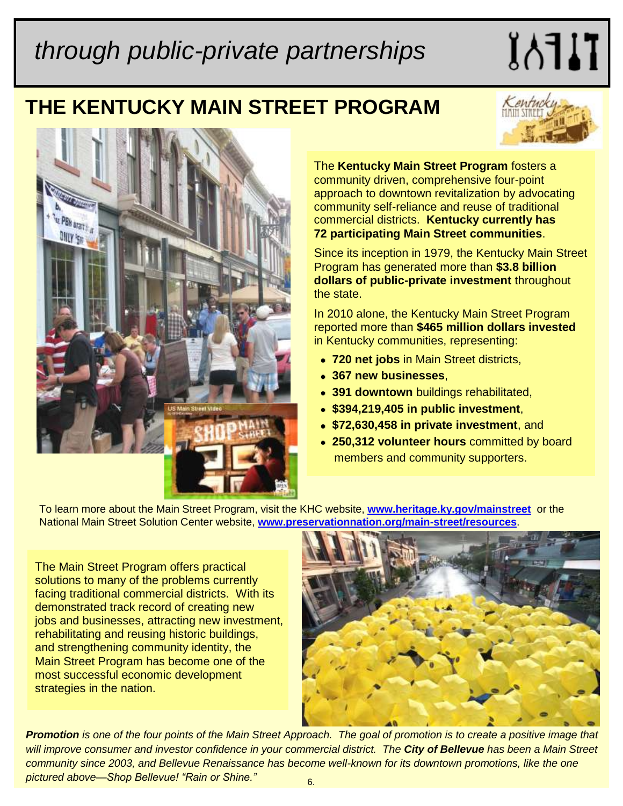# *through public-private partnerships*

### **THE KENTUCKY MAIN STREET PROGRAM**



 $I$ 



The **Kentucky Main Street Program** fosters a community driven, comprehensive four-point approach to downtown revitalization by advocating community self-reliance and reuse of traditional commercial districts. **Kentucky currently has 72 participating Main Street communities**.

Since its inception in 1979, the Kentucky Main Street Program has generated more than **\$3.8 billion dollars of public-private investment** throughout the state.

In 2010 alone, the Kentucky Main Street Program reported more than **\$465 million dollars invested** in Kentucky communities, representing:

- **720 net jobs** in Main Street districts,
- **367 new businesses**,
- **391 downtown** buildings rehabilitated,
- **\$394,219,405 in public investment**,
- **\$72,630,458 in private investment**, and
- **250,312 volunteer hours** committed by board members and community supporters.

To learn more about the Main Street Program, visit the KHC website, **[www.heritage.ky.gov/mainstreet](http://www.heritage.ky.gov/mainstreet)** or the National Main Street Solution Center website, **[www.preservationnation.org/main-street/resources](http://www.preservationnation.org/main-street/resources)**.

The Main Street Program offers practical solutions to many of the problems currently facing traditional commercial districts. With its demonstrated track record of creating new jobs and businesses, attracting new investment, rehabilitating and reusing historic buildings, and strengthening community identity, the Main Street Program has become one of the most successful economic development strategies in the nation.



*Promotion is one of the four points of the Main Street Approach. The goal of promotion is to create a positive image that will improve consumer and investor confidence in your commercial district. The City of Bellevue has been a Main Street community since 2003, and Bellevue Renaissance has become well-known for its downtown promotions, like the one pictured above—Shop Bellevue! "Rain or Shine."*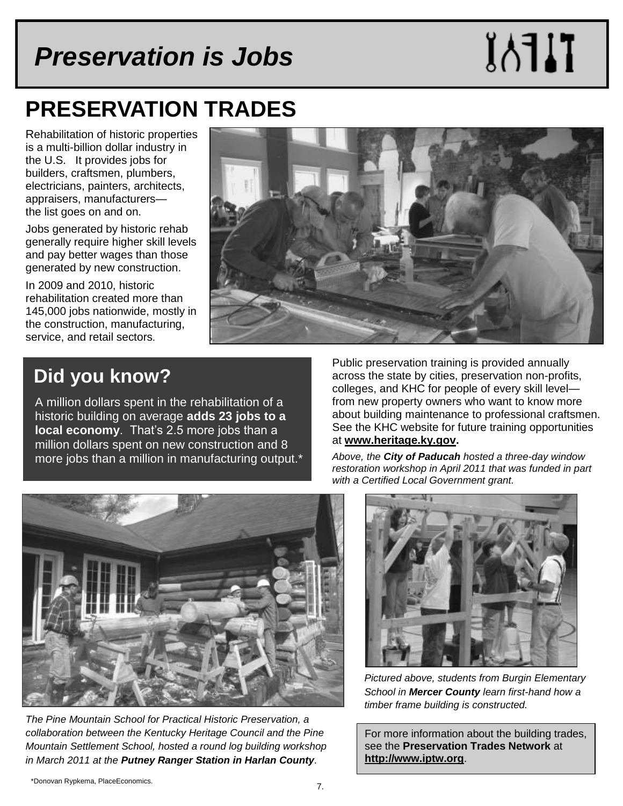## *Preservation is Jobs*

# **TIFAX**

## **PRESERVATION TRADES**

Rehabilitation of historic properties is a multi-billion dollar industry in the U.S. It provides jobs for builders, craftsmen, plumbers, electricians, painters, architects, appraisers, manufacturers the list goes on and on.

Jobs generated by historic rehab generally require higher skill levels and pay better wages than those generated by new construction.

In 2009 and 2010, historic rehabilitation created more than 145,000 jobs nationwide, mostly in the construction, manufacturing, service, and retail sectors.



#### **Did you know?**

A million dollars spent in the rehabilitation of a historic building on average **adds 23 jobs to a local economy**. That's 2.5 more jobs than a million dollars spent on new construction and 8 more jobs than a million in manufacturing output.\* Public preservation training is provided annually across the state by cities, preservation non-profits, colleges, and KHC for people of every skill level from new property owners who want to know more about building maintenance to professional craftsmen. See the KHC website for future training opportunities at **[www.heritage.ky.gov.](http://www.heritage.ky.gov)** 

*Above, the City of Paducah hosted a three-day window restoration workshop in April 2011 that was funded in part with a Certified Local Government grant.*



*The Pine Mountain School for Practical Historic Preservation, a collaboration between the Kentucky Heritage Council and the Pine Mountain Settlement School, hosted a round log building workshop in March 2011 at the Putney Ranger Station in Harlan County.* 



*Pictured above, students from Burgin Elementary School in Mercer County learn first-hand how a timber frame building is constructed.* 

For more information about the building trades, see the **Preservation Trades Network** at **<http://www.iptw.org>**.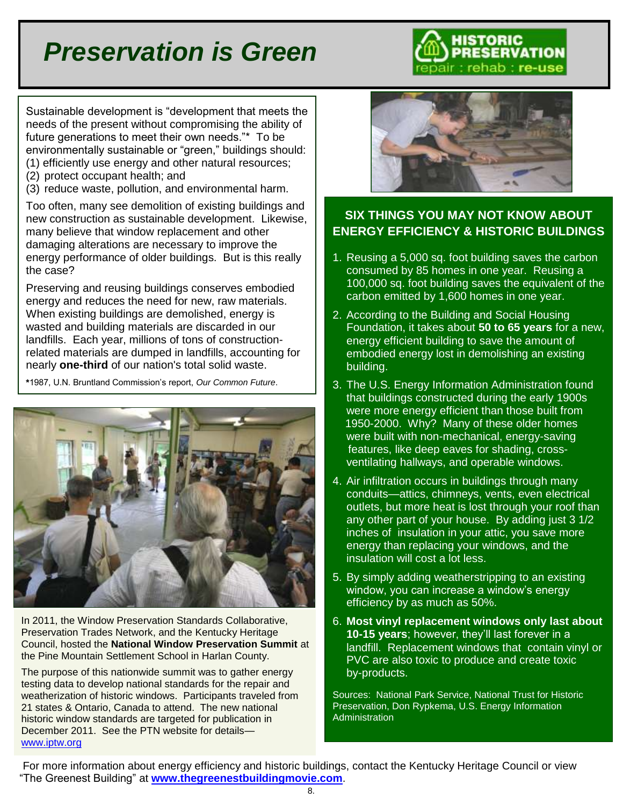# *Preservation is Green*



Sustainable development is "development that meets the needs of the present without compromising the ability of future generations to meet their own needs."\* To be environmentally sustainable or "green," buildings should: (1) efficiently use energy and other natural resources;

- (2) protect occupant health; and
- (3) reduce waste, pollution, and environmental harm.

Too often, many see demolition of existing buildings and new construction as sustainable development. Likewise, many believe that window replacement and other damaging alterations are necessary to improve the energy performance of older buildings. But is this really the case?

Preserving and reusing buildings conserves embodied energy and reduces the need for new, raw materials. When existing buildings are demolished, energy is wasted and building materials are discarded in our landfills. Each year, millions of tons of constructionrelated materials are dumped in landfills, accounting for nearly **one-third** of our nation's total solid waste.

**\***1987, U.N. Bruntland Commission"s report, *Our Common Future*.



In 2011, the Window Preservation Standards Collaborative, Preservation Trades Network, and the Kentucky Heritage Council, hosted the **National Window Preservation Summit** at the Pine Mountain Settlement School in Harlan County.

The purpose of this nationwide summit was to gather energy testing data to develop national standards for the repair and weatherization of historic windows. Participants traveled from 21 states & Ontario, Canada to attend. The new national historic window standards are targeted for publication in December 2011. See the PTN website for details [www.iptw.org](http://www.iptw.org)



#### **SIX THINGS YOU MAY NOT KNOW ABOUT ENERGY EFFICIENCY & HISTORIC BUILDINGS**

- 1. Reusing a 5,000 sq. foot building saves the carbon consumed by 85 homes in one year. Reusing a 100,000 sq. foot building saves the equivalent of the carbon emitted by 1,600 homes in one year.
- 2. According to the Building and Social Housing Foundation, it takes about **50 to 65 years** for a new, energy efficient building to save the amount of embodied energy lost in demolishing an existing building.
- 3. The U.S. Energy Information Administration found that buildings constructed during the early 1900s were more energy efficient than those built from 1950-2000. Why? Many of these older homes were built with non-mechanical, energy-saving features, like deep eaves for shading, crossventilating hallways, and operable windows.
- 4. Air infiltration occurs in buildings through many conduits—attics, chimneys, vents, even electrical outlets, but more heat is lost through your roof than any other part of your house. By adding just 3 1/2 inches of insulation in your attic, you save more energy than replacing your windows, and the insulation will cost a lot less.
- 5. By simply adding weatherstripping to an existing window, you can increase a window"s energy efficiency by as much as 50%.
- 6. **Most vinyl replacement windows only last about 10-15 years**; however, they"ll last forever in a landfill. Replacement windows that contain vinyl or PVC are also toxic to produce and create toxic by-products.

Sources: National Park Service, National Trust for Historic Preservation, Don Rypkema, U.S. Energy Information Administration

 For more information about energy efficiency and historic buildings, contact the Kentucky Heritage Council or view "The Greenest Building" at **[www.thegreenestbuildingmovie.com](http://www.thegreenestbuildingmovie.com)**.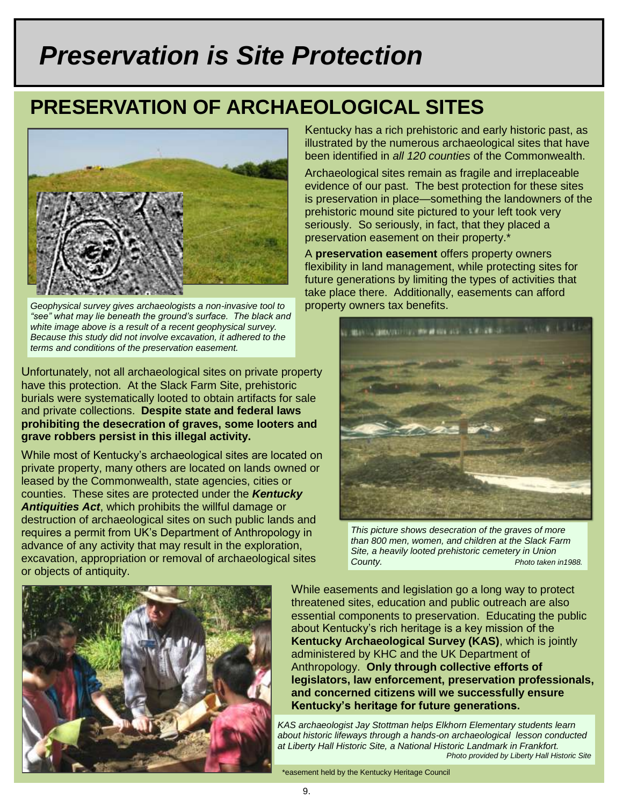# *Preservation is Site Protection*

### **PRESERVATION OF ARCHAEOLOGICAL SITES**



*Geophysical survey gives archaeologists a non-invasive tool to "see" what may lie beneath the ground's surface. The black and white image above is a result of a recent geophysical survey. Because this study did not involve excavation, it adhered to the terms and conditions of the preservation easement.*

Unfortunately, not all archaeological sites on private property have this protection. At the Slack Farm Site, prehistoric burials were systematically looted to obtain artifacts for sale and private collections. **Despite state and federal laws prohibiting the desecration of graves, some looters and grave robbers persist in this illegal activity.**

While most of Kentucky"s archaeological sites are located on private property, many others are located on lands owned or leased by the Commonwealth, state agencies, cities or counties. These sites are protected under the *Kentucky Antiquities Act*, which prohibits the willful damage or destruction of archaeological sites on such public lands and requires a permit from UK"s Department of Anthropology in advance of any activity that may result in the exploration, excavation, appropriation or removal of archaeological sites or objects of antiquity.

Kentucky has a rich prehistoric and early historic past, as illustrated by the numerous archaeological sites that have been identified in *all 120 counties* of the Commonwealth.

Archaeological sites remain as fragile and irreplaceable evidence of our past. The best protection for these sites is preservation in place—something the landowners of the prehistoric mound site pictured to your left took very seriously. So seriously, in fact, that they placed a preservation easement on their property.\*

A **preservation easement** offers property owners flexibility in land management, while protecting sites for future generations by limiting the types of activities that take place there. Additionally, easements can afford property owners tax benefits.



*This picture shows desecration of the graves of more than 800 men, women, and children at the Slack Farm Site, a heavily looted prehistoric cemetery in Union County. Photo taken in1988.*



While easements and legislation go a long way to protect threatened sites, education and public outreach are also essential components to preservation. Educating the public about Kentucky"s rich heritage is a key mission of the **Kentucky Archaeological Survey (KAS)**, which is jointly administered by KHC and the UK Department of Anthropology. **Only through collective efforts of legislators, law enforcement, preservation professionals, and concerned citizens will we successfully ensure Kentucky's heritage for future generations.**

*KAS archaeologist Jay Stottman helps Elkhorn Elementary students learn about historic lifeways through a hands-on archaeological lesson conducted at Liberty Hall Historic Site, a National Historic Landmark in Frankfort. Photo provided by Liberty Hall Historic Site*

\*easement held by the Kentucky Heritage Council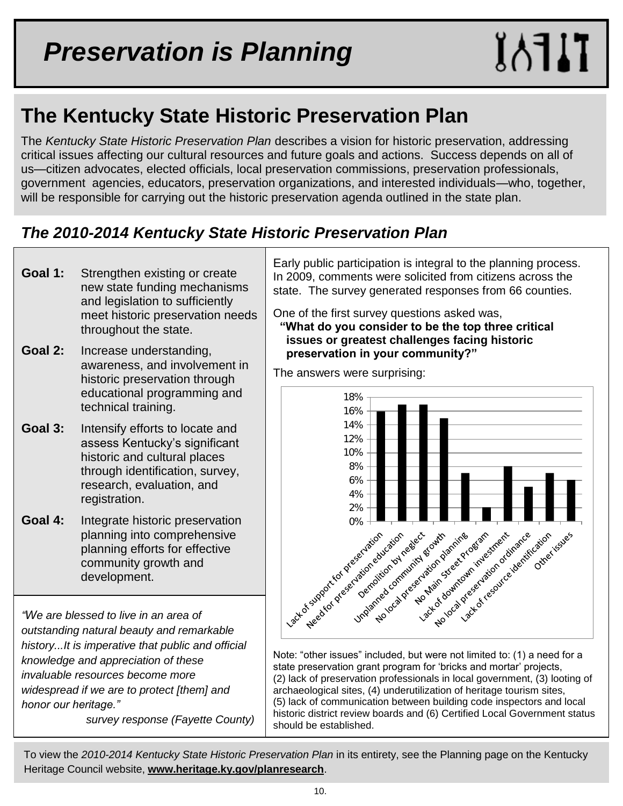### **The Kentucky State Historic Preservation Plan**

The *Kentucky State Historic Preservation Plan* describes a vision for historic preservation, addressing critical issues affecting our cultural resources and future goals and actions. Success depends on all of us—citizen advocates, elected officials, local preservation commissions, preservation professionals, government agencies, educators, preservation organizations, and interested individuals—who, together, will be responsible for carrying out the historic preservation agenda outlined in the state plan.

#### *The 2010-2014 Kentucky State Historic Preservation Plan*

- **Goal 1:** Strengthen existing or create new state funding mechanisms and legislation to sufficiently meet historic preservation needs throughout the state.
- **Goal 2:** Increase understanding, awareness, and involvement in historic preservation through educational programming and technical training.
- **Goal 3:** Intensify efforts to locate and assess Kentucky"s significant historic and cultural places through identification, survey, research, evaluation, and registration.
- **Goal 4:** Integrate historic preservation planning into comprehensive planning efforts for effective community growth and development.

*"We are blessed to live in an area of outstanding natural beauty and remarkable history...It is imperative that public and official knowledge and appreciation of these invaluable resources become more widespread if we are to protect [them] and honor our heritage."* 

 *survey response (Fayette County)*

Early public participation is integral to the planning process. In 2009, comments were solicited from citizens across the state. The survey generated responses from 66 counties.

One of the first survey questions asked was,  **"What do you consider to be the top three critical issues or greatest challenges facing historic preservation in your community?"**



Note: "other issues" included, but were not limited to: (1) a need for a state preservation grant program for "bricks and mortar" projects, (2) lack of preservation professionals in local government, (3) looting of archaeological sites, (4) underutilization of heritage tourism sites, (5) lack of communication between building code inspectors and local historic district review boards and (6) Certified Local Government status should be established.

í To view the *2010-2014 Kentucky State Historic Preservation Plan* in its entirety, see the Planning page on the Kentucky Heritage Council website, **[www.heritage.ky.gov/planresearch](http://www.heritage.ky.gov/planresearch)**.